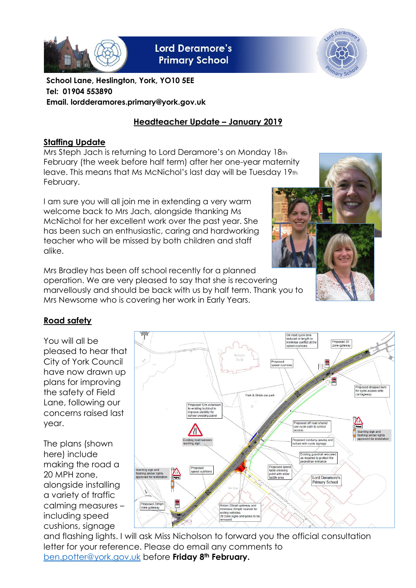

**Lord Deramore's Primary School** 



**School Lane, Heslington, York, YO10 5EE Tel: 01904 553890 Email. lordderamores.primary@york.gov.uk**

# **Headteacher Update – January 2019**

### **Staffing Update**

Mrs Steph Jach is returning to Lord Deramore's on Monday 18th February (the week before half term) after her one-year maternity leave. This means that Ms McNichol's last day will be Tuesday 19th February.

I am sure you will all join me in extending a very warm welcome back to Mrs Jach, alongside thanking Ms McNichol for her excellent work over the past year. She has been such an enthusiastic, caring and hardworking teacher who will be missed by both children and staff alike.

Mrs Bradley has been off school recently for a planned operation. We are very pleased to say that she is recovering marvellously and should be back with us by half term. Thank you to Mrs Newsome who is covering her work in Early Years.



# **Road safety**

You will all be pleased to hear that City of York Council have now drawn up plans for improving the safety of Field Lane, following our concerns raised last year.

The plans (shown here) include making the road a 20 MPH zone, alongside installing a variety of traffic calming measures – including speed cushions, signage



and flashing lights. I will ask Miss Nicholson to forward you the official consultation letter for your reference. Please do email any comments to [ben.potter@york.gov.uk](mailto:ben.potter@york.gov.uk) before **Friday 8th February.**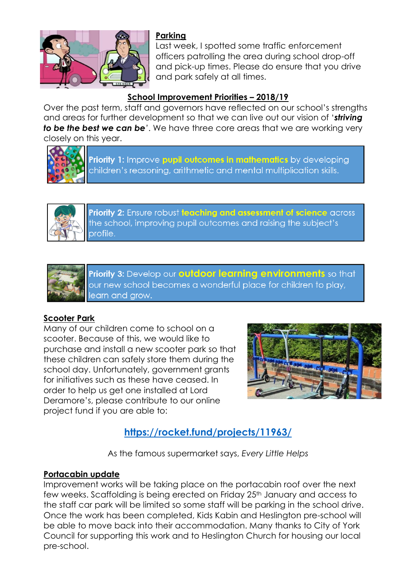

### **Parking**

Last week, I spotted some traffic enforcement officers patrolling the area during school drop-off and pick-up times. Please do ensure that you drive and park safely at all times.

## **School Improvement Priorities – 2018/19**

Over the past term, staff and governors have reflected on our school's strengths and areas for further development so that we can live out our vision of '*striving to be the best we can be'*. We have three core areas that we are working very closely on this year.



Priority 1: Improve pupil outcomes in mathematics by developing children's reasoning, arithmetic and mental multiplication skills.



Priority 2: Ensure robust teaching and assessment of science across the school, improving pupil outcomes and raising the subject's profile.



Priority 3: Develop our **outdoor learning environments** so that our new school becomes a wonderful place for children to play, learn and grow.

### **Scooter Park**

Many of our children come to school on a scooter. Because of this, we would like to purchase and install a new scooter park so that these children can safely store them during the school day. Unfortunately, government grants for initiatives such as these have ceased. In order to help us get one installed at Lord Deramore's, please contribute to our online project fund if you are able to:



# **<https://rocket.fund/projects/11963/>**

As the famous supermarket says, *Every Little Helps*

### **Portacabin update**

Improvement works will be taking place on the portacabin roof over the next few weeks. Scaffolding is being erected on Friday 25<sup>th</sup> January and access to the staff car park will be limited so some staff will be parking in the school drive. Once the work has been completed, Kids Kabin and Heslington pre-school will be able to move back into their accommodation. Many thanks to City of York Council for supporting this work and to Heslington Church for housing our local pre-school.